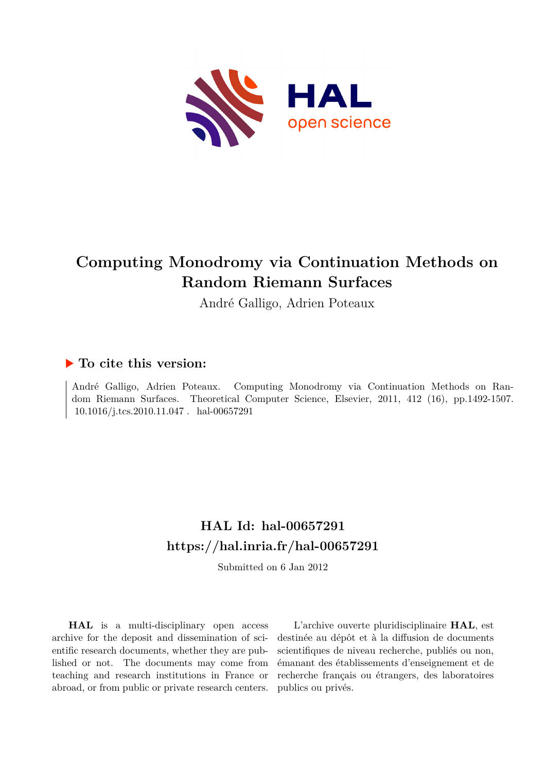

# **Computing Monodromy via Continuation Methods on Random Riemann Surfaces**

André Galligo, Adrien Poteaux

# **To cite this version:**

André Galligo, Adrien Poteaux. Computing Monodromy via Continuation Methods on Random Riemann Surfaces. Theoretical Computer Science, Elsevier, 2011, 412 (16), pp.1492-1507.  $10.1016/j.tcs.2010.11.047$ . hal-00657291

# **HAL Id: hal-00657291 <https://hal.inria.fr/hal-00657291>**

Submitted on 6 Jan 2012

**HAL** is a multi-disciplinary open access archive for the deposit and dissemination of scientific research documents, whether they are published or not. The documents may come from teaching and research institutions in France or abroad, or from public or private research centers.

L'archive ouverte pluridisciplinaire **HAL**, est destinée au dépôt et à la diffusion de documents scientifiques de niveau recherche, publiés ou non, émanant des établissements d'enseignement et de recherche français ou étrangers, des laboratoires publics ou privés.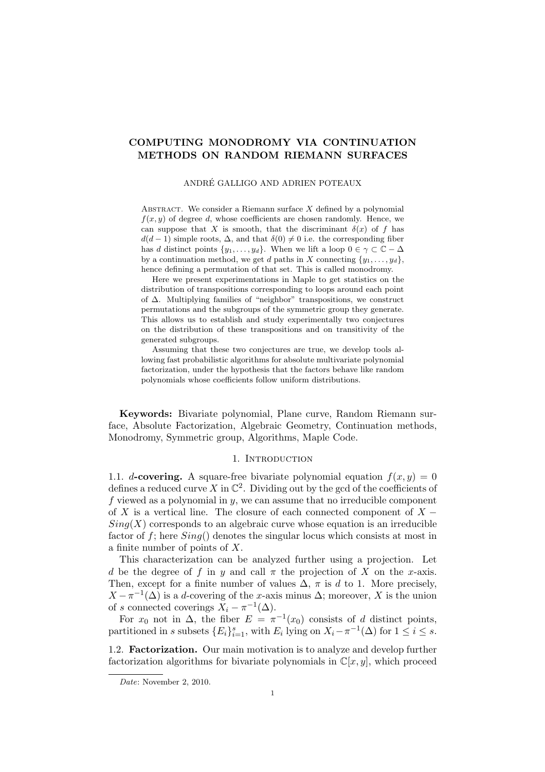## COMPUTING MONODROMY VIA CONTINUATION METHODS ON RANDOM RIEMANN SURFACES

#### ANDRE GALLIGO AND ADRIEN POTEAUX ´

ABSTRACT. We consider a Riemann surface  $X$  defined by a polynomial  $f(x, y)$  of degree d, whose coefficients are chosen randomly. Hence, we can suppose that X is smooth, that the discriminant  $\delta(x)$  of f has  $d(d-1)$  simple roots,  $\Delta$ , and that  $\delta(0) \neq 0$  i.e. the corresponding fiber has d distinct points  $\{y_1, \ldots, y_d\}$ . When we lift a loop  $0 \in \gamma \subset \mathbb{C} - \Delta$ by a continuation method, we get d paths in X connecting  $\{y_1, \ldots, y_d\}$ , hence defining a permutation of that set. This is called monodromy.

Here we present experimentations in Maple to get statistics on the distribution of transpositions corresponding to loops around each point of ∆. Multiplying families of "neighbor" transpositions, we construct permutations and the subgroups of the symmetric group they generate. This allows us to establish and study experimentally two conjectures on the distribution of these transpositions and on transitivity of the generated subgroups.

Assuming that these two conjectures are true, we develop tools allowing fast probabilistic algorithms for absolute multivariate polynomial factorization, under the hypothesis that the factors behave like random polynomials whose coefficients follow uniform distributions.

Keywords: Bivariate polynomial, Plane curve, Random Riemann surface, Absolute Factorization, Algebraic Geometry, Continuation methods, Monodromy, Symmetric group, Algorithms, Maple Code.

#### 1. INTRODUCTION

1.1. d-covering. A square-free bivariate polynomial equation  $f(x, y) = 0$ defines a reduced curve X in  $\mathbb{C}^2$ . Dividing out by the gcd of the coefficients of f viewed as a polynomial in  $y$ , we can assume that no irreducible component of X is a vertical line. The closure of each connected component of  $X Sing(X)$  corresponds to an algebraic curve whose equation is an irreducible factor of f; here  $Sing()$  denotes the singular locus which consists at most in a finite number of points of X.

This characterization can be analyzed further using a projection. Let d be the degree of f in y and call  $\pi$  the projection of X on the x-axis. Then, except for a finite number of values  $\Delta$ ,  $\pi$  is d to 1. More precisely,  $X - \pi^{-1}(\Delta)$  is a d-covering of the x-axis minus  $\Delta$ ; moreover, X is the union of s connected coverings  $X_i - \pi^{-1}(\Delta)$ .

For  $x_0$  not in  $\Delta$ , the fiber  $E = \pi^{-1}(x_0)$  consists of d distinct points, partitioned in s subsets  $\{E_i\}_{i=1}^s$ , with  $E_i$  lying on  $X_i - \pi^{-1}(\Delta)$  for  $1 \le i \le s$ .

1.2. Factorization. Our main motivation is to analyze and develop further factorization algorithms for bivariate polynomials in  $\mathbb{C}[x, y]$ , which proceed

*Date*: November 2, 2010.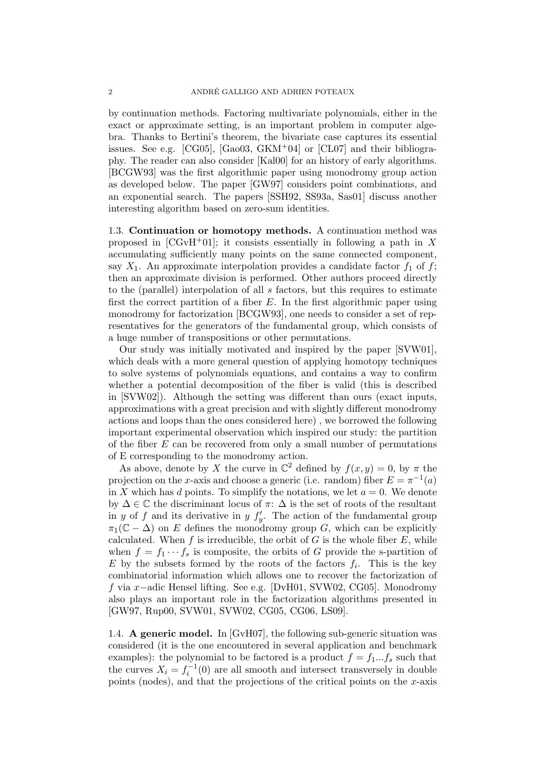by continuation methods. Factoring multivariate polynomials, either in the exact or approximate setting, is an important problem in computer algebra. Thanks to Bertini's theorem, the bivariate case captures its essential issues. See e.g.  $[CG05]$ ,  $[Ga003, \text{GKM}^+04]$  or  $[CL07]$  and their bibliography. The reader can also consider [Kal00] for an history of early algorithms. [BCGW93] was the first algorithmic paper using monodromy group action as developed below. The paper [GW97] considers point combinations, and an exponential search. The papers [SSH92, SS93a, Sas01] discuss another interesting algorithm based on zero-sum identities.

1.3. Continuation or homotopy methods. A continuation method was proposed in  $[CGvH<sup>+</sup>01]$ ; it consists essentially in following a path in X accumulating sufficiently many points on the same connected component, say  $X_1$ . An approximate interpolation provides a candidate factor  $f_1$  of f; then an approximate division is performed. Other authors proceed directly to the (parallel) interpolation of all s factors, but this requires to estimate first the correct partition of a fiber  $E$ . In the first algorithmic paper using monodromy for factorization [BCGW93], one needs to consider a set of representatives for the generators of the fundamental group, which consists of a huge number of transpositions or other permutations.

Our study was initially motivated and inspired by the paper [SVW01], which deals with a more general question of applying homotopy techniques to solve systems of polynomials equations, and contains a way to confirm whether a potential decomposition of the fiber is valid (this is described in [SVW02]). Although the setting was different than ours (exact inputs, approximations with a great precision and with slightly different monodromy actions and loops than the ones considered here) , we borrowed the following important experimental observation which inspired our study: the partition of the fiber  $E$  can be recovered from only a small number of permutations of E corresponding to the monodromy action.

As above, denote by X the curve in  $\mathbb{C}^2$  defined by  $f(x, y) = 0$ , by  $\pi$  the projection on the x-axis and choose a generic (i.e. random) fiber  $E = \pi^{-1}(a)$ in X which has d points. To simplify the notations, we let  $a = 0$ . We denote by  $\Delta \in \mathbb{C}$  the discriminant locus of  $\pi$ :  $\Delta$  is the set of roots of the resultant in y of f and its derivative in y  $f'_y$ . The action of the fundamental group  $\pi_1(\mathbb{C} - \Delta)$  on E defines the monodromy group G, which can be explicitly calculated. When f is irreducible, the orbit of G is the whole fiber  $E$ , while when  $f = f_1 \cdots f_s$  is composite, the orbits of G provide the s-partition of E by the subsets formed by the roots of the factors  $f_i$ . This is the key combinatorial information which allows one to recover the factorization of f via x−adic Hensel lifting. See e.g. [DvH01, SVW02, CG05]. Monodromy also plays an important role in the factorization algorithms presented in [GW97, Rup00, SVW01, SVW02, CG05, CG06, LS09].

1.4. A generic model. In [GvH07], the following sub-generic situation was considered (it is the one encountered in several application and benchmark examples): the polynomial to be factored is a product  $f = f_1...f_s$  such that the curves  $X_i = f_i^{-1}(0)$  are all smooth and intersect transversely in double points (nodes), and that the projections of the critical points on the  $x$ -axis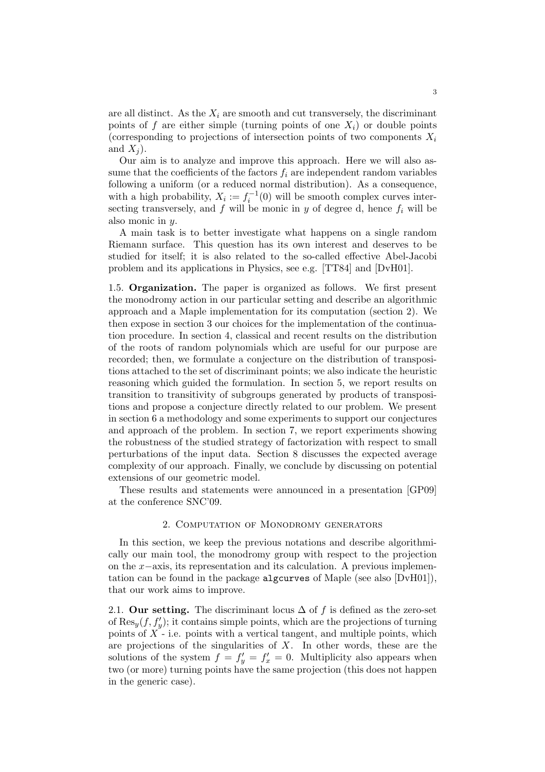are all distinct. As the  $X_i$  are smooth and cut transversely, the discriminant points of f are either simple (turning points of one  $X_i$ ) or double points (corresponding to projections of intersection points of two components  $X_i$ and  $X_i$ ).

Our aim is to analyze and improve this approach. Here we will also assume that the coefficients of the factors  $f_i$  are independent random variables following a uniform (or a reduced normal distribution). As a consequence, with a high probability,  $X_i := f_i^{-1}(0)$  will be smooth complex curves intersecting transversely, and f will be monic in y of degree d, hence  $f_i$  will be also monic in y.

A main task is to better investigate what happens on a single random Riemann surface. This question has its own interest and deserves to be studied for itself; it is also related to the so-called effective Abel-Jacobi problem and its applications in Physics, see e.g. [TT84] and [DvH01].

1.5. Organization. The paper is organized as follows. We first present the monodromy action in our particular setting and describe an algorithmic approach and a Maple implementation for its computation (section 2). We then expose in section 3 our choices for the implementation of the continuation procedure. In section 4, classical and recent results on the distribution of the roots of random polynomials which are useful for our purpose are recorded; then, we formulate a conjecture on the distribution of transpositions attached to the set of discriminant points; we also indicate the heuristic reasoning which guided the formulation. In section 5, we report results on transition to transitivity of subgroups generated by products of transpositions and propose a conjecture directly related to our problem. We present in section 6 a methodology and some experiments to support our conjectures and approach of the problem. In section 7, we report experiments showing the robustness of the studied strategy of factorization with respect to small perturbations of the input data. Section 8 discusses the expected average complexity of our approach. Finally, we conclude by discussing on potential extensions of our geometric model.

These results and statements were announced in a presentation [GP09] at the conference SNC'09.

#### 2. Computation of Monodromy generators

In this section, we keep the previous notations and describe algorithmically our main tool, the monodromy group with respect to the projection on the x−axis, its representation and its calculation. A previous implementation can be found in the package algcurves of Maple (see also [DvH01]), that our work aims to improve.

2.1. Our setting. The discriminant locus  $\Delta$  of f is defined as the zero-set of  $\text{Res}_y(f, f'_y)$ ; it contains simple points, which are the projections of turning points of  $X$  - i.e. points with a vertical tangent, and multiple points, which are projections of the singularities of  $X$ . In other words, these are the solutions of the system  $f = f'_y = f'_x = 0$ . Multiplicity also appears when two (or more) turning points have the same projection (this does not happen in the generic case).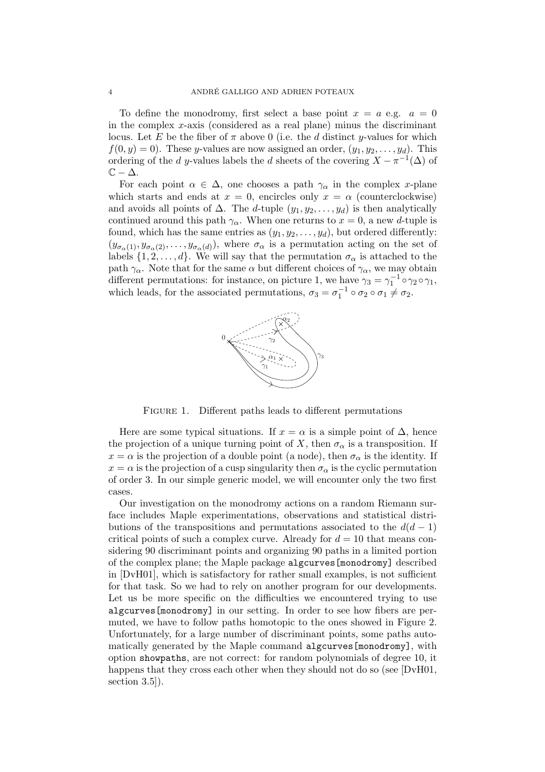To define the monodromy, first select a base point  $x = a$  e.g.  $a = 0$ in the complex  $x$ -axis (considered as a real plane) minus the discriminant locus. Let E be the fiber of  $\pi$  above 0 (i.e. the d distinct y-values for which  $f(0, y) = 0$ . These y-values are now assigned an order,  $(y_1, y_2, \ldots, y_d)$ . This ordering of the d y-values labels the d sheets of the covering  $X - \pi^{-1}(\Delta)$  of  $\mathbb{C} - \Delta$ .

For each point  $\alpha \in \Delta$ , one chooses a path  $\gamma_{\alpha}$  in the complex x-plane which starts and ends at  $x = 0$ , encircles only  $x = \alpha$  (counterclockwise) and avoids all points of  $\Delta$ . The d-tuple  $(y_1, y_2, \ldots, y_d)$  is then analytically continued around this path  $\gamma_{\alpha}$ . When one returns to  $x = 0$ , a new d-tuple is found, which has the same entries as  $(y_1, y_2, \ldots, y_d)$ , but ordered differently:  $(y_{\sigma_\alpha(1)}, y_{\sigma_\alpha(2)}, \ldots, y_{\sigma_\alpha(d)})$ , where  $\sigma_\alpha$  is a permutation acting on the set of labels  $\{1, 2, ..., d\}$ . We will say that the permutation  $\sigma_{\alpha}$  is attached to the path  $\gamma_{\alpha}$ . Note that for the same  $\alpha$  but different choices of  $\gamma_{\alpha}$ , we may obtain different permutations: for instance, on picture 1, we have  $\gamma_3 = \gamma_1^{-1} \circ \gamma_2 \circ \gamma_1$ , which leads, for the associated permutations,  $\sigma_3 = \sigma_1^{-1} \circ \sigma_2 \circ \sigma_1 \neq \sigma_2$ .



FIGURE 1. Different paths leads to different permutations

Here are some typical situations. If  $x = \alpha$  is a simple point of  $\Delta$ , hence the projection of a unique turning point of X, then  $\sigma_{\alpha}$  is a transposition. If  $x = \alpha$  is the projection of a double point (a node), then  $\sigma_{\alpha}$  is the identity. If  $x = \alpha$  is the projection of a cusp singularity then  $\sigma_{\alpha}$  is the cyclic permutation of order 3. In our simple generic model, we will encounter only the two first cases.

Our investigation on the monodromy actions on a random Riemann surface includes Maple experimentations, observations and statistical distributions of the transpositions and permutations associated to the  $d(d-1)$ critical points of such a complex curve. Already for  $d = 10$  that means considering 90 discriminant points and organizing 90 paths in a limited portion of the complex plane; the Maple package algcurves[monodromy] described in [DvH01], which is satisfactory for rather small examples, is not sufficient for that task. So we had to rely on another program for our developments. Let us be more specific on the difficulties we encountered trying to use algcurves[monodromy] in our setting. In order to see how fibers are permuted, we have to follow paths homotopic to the ones showed in Figure 2. Unfortunately, for a large number of discriminant points, some paths automatically generated by the Maple command algcurves[monodromy], with option showpaths, are not correct: for random polynomials of degree 10, it happens that they cross each other when they should not do so (see [DvH01, section 3.5]).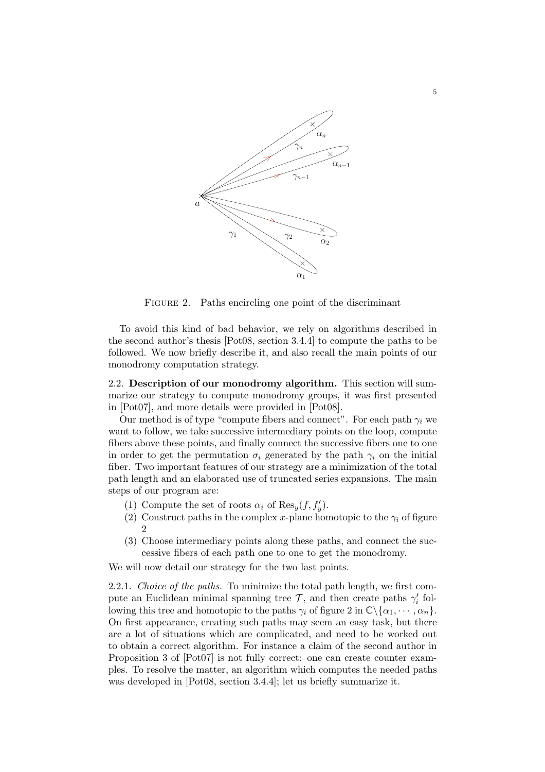

FIGURE 2. Paths encircling one point of the discriminant

To avoid this kind of bad behavior, we rely on algorithms described in the second author's thesis [Pot08, section 3.4.4] to compute the paths to be followed. We now briefly describe it, and also recall the main points of our monodromy computation strategy.

2.2. Description of our monodromy algorithm. This section will summarize our strategy to compute monodromy groups, it was first presented in [Pot07], and more details were provided in [Pot08].

Our method is of type "compute fibers and connect". For each path  $\gamma_i$  we want to follow, we take successive intermediary points on the loop, compute fibers above these points, and finally connect the successive fibers one to one in order to get the permutation  $\sigma_i$  generated by the path  $\gamma_i$  on the initial fiber. Two important features of our strategy are a minimization of the total path length and an elaborated use of truncated series expansions. The main steps of our program are:

- (1) Compute the set of roots  $\alpha_i$  of  $\text{Res}_y(f, f'_y)$ .
- (2) Construct paths in the complex x-plane homotopic to the  $\gamma_i$  of figure 2
- (3) Choose intermediary points along these paths, and connect the successive fibers of each path one to one to get the monodromy.

We will now detail our strategy for the two last points.

2.2.1. Choice of the paths. To minimize the total path length, we first compute an Euclidean minimal spanning tree  $\mathcal{T}$ , and then create paths  $\gamma'_i$  following this tree and homotopic to the paths  $\gamma_i$  of figure 2 in  $\mathbb{C}\backslash {\alpha_1, \cdots, \alpha_n}$ . On first appearance, creating such paths may seem an easy task, but there are a lot of situations which are complicated, and need to be worked out to obtain a correct algorithm. For instance a claim of the second author in Proposition 3 of [Pot07] is not fully correct: one can create counter examples. To resolve the matter, an algorithm which computes the needed paths was developed in [Pot08, section 3.4.4]; let us briefly summarize it.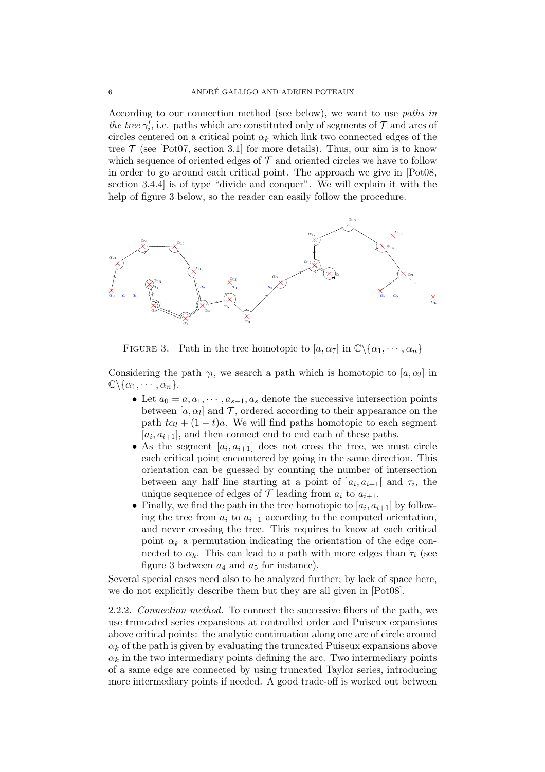According to our connection method (see below), we want to use paths in the tree  $\gamma'_i$ , i.e. paths which are constituted only of segments of  $\mathcal T$  and arcs of circles centered on a critical point  $\alpha_k$  which link two connected edges of the tree  $\mathcal T$  (see [Pot07, section 3.1] for more details). Thus, our aim is to know which sequence of oriented edges of  $\mathcal T$  and oriented circles we have to follow in order to go around each critical point. The approach we give in [Pot08, section 3.4.4] is of type "divide and conquer". We will explain it with the help of figure 3 below, so the reader can easily follow the procedure.



FIGURE 3. Path in the tree homotopic to  $[a, \alpha_7]$  in  $\mathbb{C}\backslash {\alpha_1, \cdots, \alpha_n}$ 

Considering the path  $\gamma_l$ , we search a path which is homotopic to  $[a, \alpha_l]$  in  $\mathbb{C}\backslash {\alpha_1, \cdots, \alpha_n}.$ 

- Let  $a_0 = a, a_1, \dots, a_{s-1}, a_s$  denote the successive intersection points between  $[a, \alpha_l]$  and  $\mathcal{T}$ , ordered according to their appearance on the path  $t\alpha_l + (1 - t)a$ . We will find paths homotopic to each segment  $[a_i, a_{i+1}]$ , and then connect end to end each of these paths.
- As the segment  $[a_i, a_{i+1}]$  does not cross the tree, we must circle each critical point encountered by going in the same direction. This orientation can be guessed by counting the number of intersection between any half line starting at a point of  $]a_i, a_{i+1}[$  and  $\tau_i$ , the unique sequence of edges of  $\mathcal T$  leading from  $a_i$  to  $a_{i+1}$ .
- Finally, we find the path in the tree homotopic to  $[a_i, a_{i+1}]$  by following the tree from  $a_i$  to  $a_{i+1}$  according to the computed orientation, and never crossing the tree. This requires to know at each critical point  $\alpha_k$  a permutation indicating the orientation of the edge connected to  $\alpha_k$ . This can lead to a path with more edges than  $\tau_i$  (see figure 3 between  $a_4$  and  $a_5$  for instance).

Several special cases need also to be analyzed further; by lack of space here, we do not explicitly describe them but they are all given in [Pot08].

2.2.2. Connection method. To connect the successive fibers of the path, we use truncated series expansions at controlled order and Puiseux expansions above critical points: the analytic continuation along one arc of circle around  $\alpha_k$  of the path is given by evaluating the truncated Puiseux expansions above  $\alpha_k$  in the two intermediary points defining the arc. Two intermediary points of a same edge are connected by using truncated Taylor series, introducing more intermediary points if needed. A good trade-off is worked out between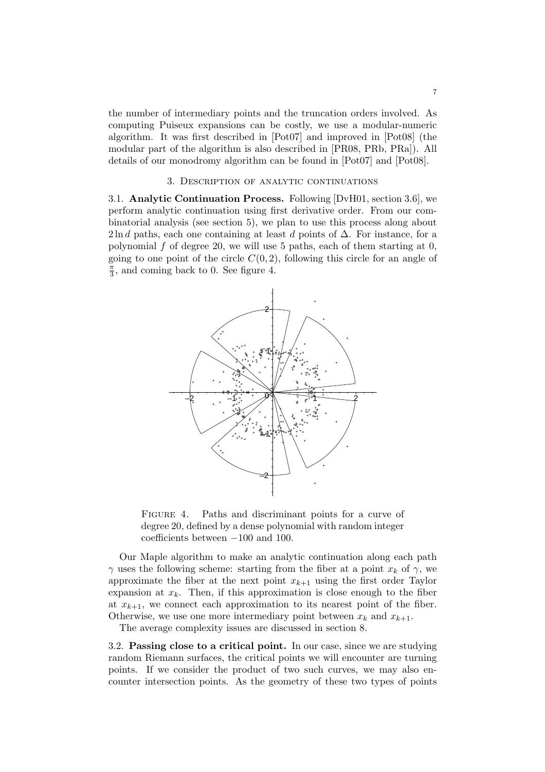the number of intermediary points and the truncation orders involved. As computing Puiseux expansions can be costly, we use a modular-numeric algorithm. It was first described in [Pot07] and improved in [Pot08] (the modular part of the algorithm is also described in [PR08, PRb, PRa]). All details of our monodromy algorithm can be found in [Pot07] and [Pot08].

### 3. Description of analytic continuations

3.1. Analytic Continuation Process. Following [DvH01, section 3.6], we perform analytic continuation using first derivative order. From our combinatorial analysis (see section 5), we plan to use this process along about 2ln d paths, each one containing at least d points of  $\Delta$ . For instance, for a polynomial f of degree 20, we will use 5 paths, each of them starting at  $0$ , going to one point of the circle  $C(0, 2)$ , following this circle for an angle of  $\frac{\pi}{2}$  $\frac{\pi}{3}$ , and coming back to 0. See figure 4.



FIGURE 4. Paths and discriminant points for a curve of degree 20, defined by a dense polynomial with random integer coefficients between −100 and 100.

Our Maple algorithm to make an analytic continuation along each path  $\gamma$  uses the following scheme: starting from the fiber at a point  $x_k$  of  $\gamma$ , we approximate the fiber at the next point  $x_{k+1}$  using the first order Taylor expansion at  $x_k$ . Then, if this approximation is close enough to the fiber at  $x_{k+1}$ , we connect each approximation to its nearest point of the fiber. Otherwise, we use one more intermediary point between  $x_k$  and  $x_{k+1}$ .

The average complexity issues are discussed in section 8.

3.2. Passing close to a critical point. In our case, since we are studying random Riemann surfaces, the critical points we will encounter are turning points. If we consider the product of two such curves, we may also encounter intersection points. As the geometry of these two types of points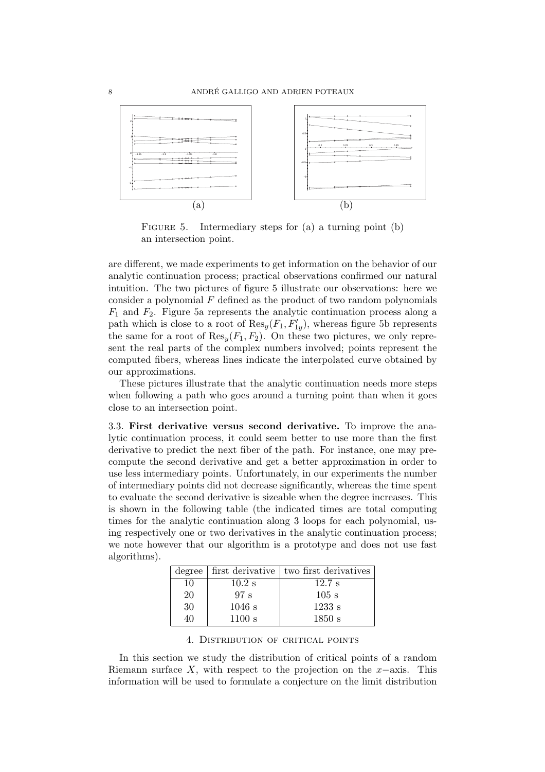

FIGURE 5. Intermediary steps for (a) a turning point (b) an intersection point.

are different, we made experiments to get information on the behavior of our analytic continuation process; practical observations confirmed our natural intuition. The two pictures of figure 5 illustrate our observations: here we consider a polynomial  $F$  defined as the product of two random polynomials  $F_1$  and  $F_2$ . Figure 5a represents the analytic continuation process along a path which is close to a root of  $\text{Res}_y(F_1, F'_{1y})$ , whereas figure 5b represents the same for a root of  $\text{Res}_{u}(F_1, F_2)$ . On these two pictures, we only represent the real parts of the complex numbers involved; points represent the computed fibers, whereas lines indicate the interpolated curve obtained by our approximations.

These pictures illustrate that the analytic continuation needs more steps when following a path who goes around a turning point than when it goes close to an intersection point.

3.3. First derivative versus second derivative. To improve the analytic continuation process, it could seem better to use more than the first derivative to predict the next fiber of the path. For instance, one may precompute the second derivative and get a better approximation in order to use less intermediary points. Unfortunately, in our experiments the number of intermediary points did not decrease significantly, whereas the time spent to evaluate the second derivative is sizeable when the degree increases. This is shown in the following table (the indicated times are total computing times for the analytic continuation along 3 loops for each polynomial, using respectively one or two derivatives in the analytic continuation process; we note however that our algorithm is a prototype and does not use fast algorithms).

|    |          | degree   first derivative   two first derivatives |
|----|----------|---------------------------------------------------|
| 10 | $10.2$ s | $12.7$ s                                          |
| 20 | 97 s     | $105$ s                                           |
| 30 | $1046$ s | 1233 s                                            |
| 40 | 1100 s   | 1850 s                                            |

4. Distribution of critical points

In this section we study the distribution of critical points of a random Riemann surface X, with respect to the projection on the  $x$ −axis. This information will be used to formulate a conjecture on the limit distribution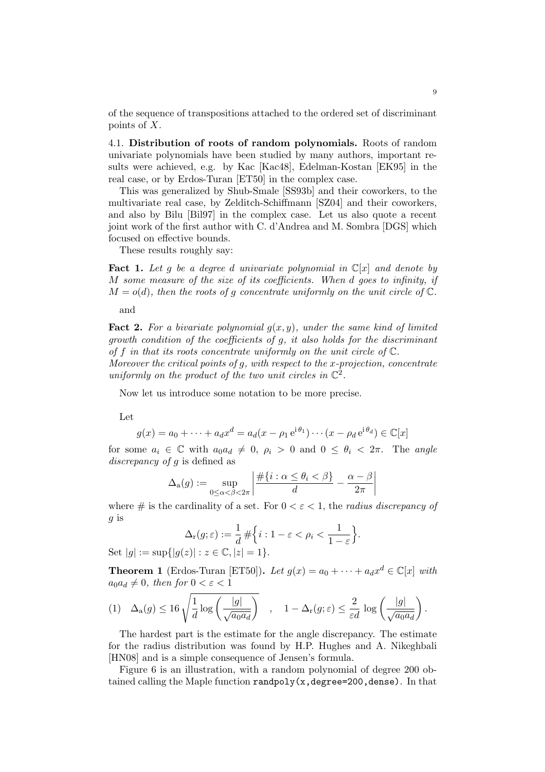of the sequence of transpositions attached to the ordered set of discriminant points of X.

4.1. Distribution of roots of random polynomials. Roots of random univariate polynomials have been studied by many authors, important results were achieved, e.g. by Kac [Kac48], Edelman-Kostan [EK95] in the real case, or by Erdos-Turan [ET50] in the complex case.

This was generalized by Shub-Smale [SS93b] and their coworkers, to the multivariate real case, by Zelditch-Schiffmann [SZ04] and their coworkers, and also by Bilu [Bil97] in the complex case. Let us also quote a recent joint work of the first author with C. d'Andrea and M. Sombra [DGS] which focused on effective bounds.

These results roughly say:

**Fact 1.** Let g be a degree d univariate polynomial in  $\mathbb{C}[x]$  and denote by M some measure of the size of its coefficients. When d goes to infinity, if  $M = o(d)$ , then the roots of q concentrate uniformly on the unit circle of  $\mathbb{C}$ .

and

**Fact 2.** For a bivariate polynomial  $q(x, y)$ , under the same kind of limited growth condition of the coefficients of g, it also holds for the discriminant of f in that its roots concentrate uniformly on the unit circle of  $\mathbb{C}$ .

Moreover the critical points of g, with respect to the x-projection, concentrate uniformly on the product of the two unit circles in  $\mathbb{C}^2$ .

Now let us introduce some notation to be more precise.

Let

$$
g(x) = a_0 + \dots + a_d x^d = a_d (x - \rho_1 e^{i\theta_1}) \cdots (x - \rho_d e^{i\theta_d}) \in \mathbb{C}[x]
$$

for some  $a_i \in \mathbb{C}$  with  $a_0 a_d \neq 0$ ,  $\rho_i > 0$  and  $0 \leq \theta_i < 2\pi$ . The angle discrepancy of q is defined as

$$
\Delta_{\mathbf{a}}(g) := \sup_{0 \le \alpha < \beta < 2\pi} \left| \frac{\#\{i : \alpha \le \theta_i < \beta\}}{d} - \frac{\alpha - \beta}{2\pi} \right|
$$

where  $\#$  is the cardinality of a set. For  $0 < \varepsilon < 1$ , the *radius discrepancy of* g is

$$
\Delta_{\mathbf{r}}(g;\varepsilon) := \frac{1}{d} \# \Big\{ i : 1 - \varepsilon < \rho_i < \frac{1}{1 - \varepsilon} \Big\}.
$$

Set  $|q| := \sup\{|q(z)| : z \in \mathbb{C}, |z| = 1\}.$ 

**Theorem 1** (Erdos-Turan [ET50]). Let  $g(x) = a_0 + \cdots + a_d x^d \in \mathbb{C}[x]$  with  $a_0a_d \neq 0$ , then for  $0 < \varepsilon < 1$ 

$$
(1) \quad \Delta_{\mathbf{a}}(g) \leq 16 \sqrt{\frac{1}{d} \log \left(\frac{|g|}{\sqrt{a_0 a_d}}\right)} \quad , \quad 1 - \Delta_{\mathbf{r}}(g; \varepsilon) \leq \frac{2}{\varepsilon d} \log \left(\frac{|g|}{\sqrt{a_0 a_d}}\right).
$$

The hardest part is the estimate for the angle discrepancy. The estimate for the radius distribution was found by H.P. Hughes and A. Nikeghbali [HN08] and is a simple consequence of Jensen's formula.

Figure 6 is an illustration, with a random polynomial of degree 200 obtained calling the Maple function randpoly( $x$ , degree=200, dense). In that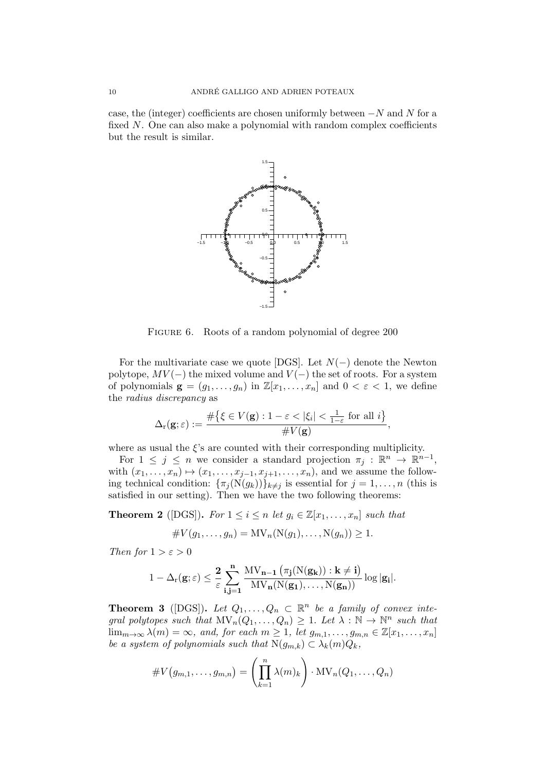case, the (integer) coefficients are chosen uniformly between  $-N$  and N for a fixed N. One can also make a polynomial with random complex coefficients but the result is similar.



FIGURE 6. Roots of a random polynomial of degree 200

For the multivariate case we quote [DGS]. Let  $N(-)$  denote the Newton polytope,  $MV(-)$  the mixed volume and  $V(-)$  the set of roots. For a system of polynomials  $\mathbf{g} = (g_1, \ldots, g_n)$  in  $\mathbb{Z}[x_1, \ldots, x_n]$  and  $0 < \varepsilon < 1$ , we define the radius discrepancy as

$$
\Delta_{\mathbf{r}}(\mathbf{g};\varepsilon) := \frac{\#\big\{\xi \in V(\mathbf{g}) : 1 - \varepsilon < |\xi_i| < \frac{1}{1-\varepsilon} \text{ for all } i\big\}}{\#V(\mathbf{g})},
$$

where as usual the  $\xi$ 's are counted with their corresponding multiplicity.

For  $1 \leq j \leq n$  we consider a standard projection  $\pi_j : \mathbb{R}^n \to \mathbb{R}^{n-1}$ , with  $(x_1, \ldots, x_n) \mapsto (x_1, \ldots, x_{j-1}, x_{j+1}, \ldots, x_n)$ , and we assume the following technical condition:  $\{\pi_j(N(g_k))\}_{k\neq j}$  is essential for  $j=1,\ldots,n$  (this is satisfied in our setting). Then we have the two following theorems:

**Theorem 2** ([DGS]). For  $1 \leq i \leq n$  let  $g_i \in \mathbb{Z}[x_1, \ldots, x_n]$  such that

$$
\#V(g_1,\ldots,g_n)=\mathrm{MV}_n(\mathrm{N}(g_1),\ldots,\mathrm{N}(g_n))\geq 1.
$$

Then for  $1 > \varepsilon > 0$ 

$$
1-\Delta_r({\bf g};\varepsilon) \leq \frac{2}{\varepsilon} \sum_{i,j=1}^n \frac{MV_{\bf n-1}\left(\pi_j(N({\bf g}_{\bf k})) : {\bf k} \neq {\bf i}\right)}{MV_{\bf n}(N({\bf g_1}), \dots, N({\bf g_n}))} \log |{\bf g_i}|.
$$

**Theorem 3** ([DGS]). Let  $Q_1, \ldots, Q_n \subset \mathbb{R}^n$  be a family of convex integral polytopes such that  $\text{MV}_n(Q_1, \ldots, Q_n) \geq 1$ . Let  $\lambda : \mathbb{N} \to \mathbb{N}^n$  such that  $\lim_{m\to\infty}\lambda(m)=\infty$ , and, for each  $m\geq 1$ , let  $g_{m,1},\ldots,g_{m,n}\in\mathbb{Z}[x_1,\ldots,x_n]$ be a system of polynomials such that  $N(g_{m,k}) \subset \lambda_k(m)Q_k$ ,

$$
\#V(g_{m,1},\ldots,g_{m,n})=\left(\prod_{k=1}^n \lambda(m)_k\right)\cdot \text{MV}_n(Q_1,\ldots,Q_n)
$$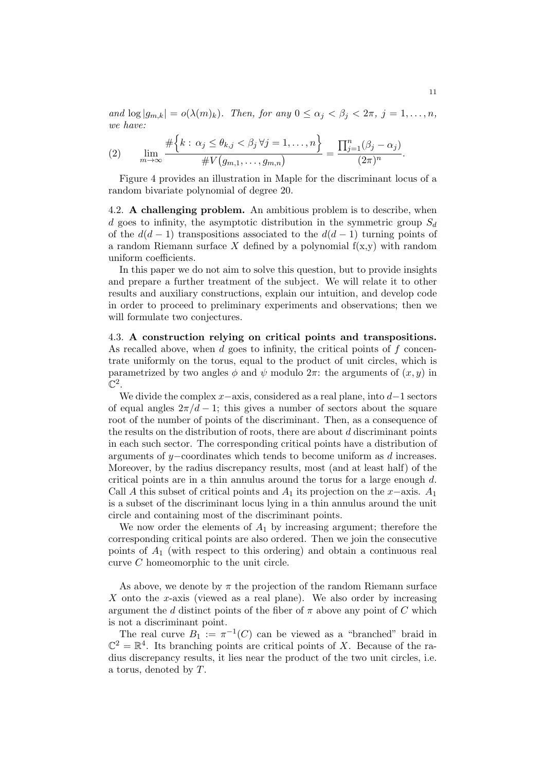and  $\log |g_{m,k}| = o(\lambda(m)_k)$ . Then, for any  $0 \le \alpha_j < \beta_j < 2\pi$ ,  $j = 1, \ldots, n$ , we have:

(2) 
$$
\lim_{m\to\infty}\frac{\#\Big\{k:\,\alpha_j\leq\theta_{k,j}<\beta_j\,\forall j=1,\ldots,n\Big\}}{\#V\big(g_{m,1},\ldots,g_{m,n}\big)}=\frac{\prod_{j=1}^n(\beta_j-\alpha_j)}{(2\pi)^n}.
$$

Figure 4 provides an illustration in Maple for the discriminant locus of a random bivariate polynomial of degree 20.

4.2. **A challenging problem.** An ambitious problem is to describe, when d goes to infinity, the asymptotic distribution in the symmetric group  $S_d$ of the  $d(d-1)$  transpositions associated to the  $d(d-1)$  turning points of a random Riemann surface X defined by a polynomial  $f(x,y)$  with random uniform coefficients.

In this paper we do not aim to solve this question, but to provide insights and prepare a further treatment of the subject. We will relate it to other results and auxiliary constructions, explain our intuition, and develop code in order to proceed to preliminary experiments and observations; then we will formulate two conjectures.

4.3. A construction relying on critical points and transpositions. As recalled above, when  $d$  goes to infinity, the critical points of  $f$  concentrate uniformly on the torus, equal to the product of unit circles, which is parametrized by two angles  $\phi$  and  $\psi$  modulo  $2\pi$ : the arguments of  $(x, y)$  in  $\mathbb{C}^2.$ 

We divide the complex  $x$ –axis, considered as a real plane, into  $d-1$  sectors of equal angles  $2\pi/d - 1$ ; this gives a number of sectors about the square root of the number of points of the discriminant. Then, as a consequence of the results on the distribution of roots, there are about  $d$  discriminant points in each such sector. The corresponding critical points have a distribution of arguments of y−coordinates which tends to become uniform as d increases. Moreover, by the radius discrepancy results, most (and at least half) of the critical points are in a thin annulus around the torus for a large enough  $d$ . Call A this subset of critical points and  $A_1$  its projection on the x−axis.  $A_1$ is a subset of the discriminant locus lying in a thin annulus around the unit circle and containing most of the discriminant points.

We now order the elements of  $A_1$  by increasing argument; therefore the corresponding critical points are also ordered. Then we join the consecutive points of  $A_1$  (with respect to this ordering) and obtain a continuous real curve C homeomorphic to the unit circle.

As above, we denote by  $\pi$  the projection of the random Riemann surface X onto the x-axis (viewed as a real plane). We also order by increasing argument the d distinct points of the fiber of  $\pi$  above any point of C which is not a discriminant point.

The real curve  $B_1 := \pi^{-1}(C)$  can be viewed as a "branched" braid in  $\mathbb{C}^2 = \mathbb{R}^4$ . Its branching points are critical points of X. Because of the radius discrepancy results, it lies near the product of the two unit circles, i.e. a torus, denoted by T.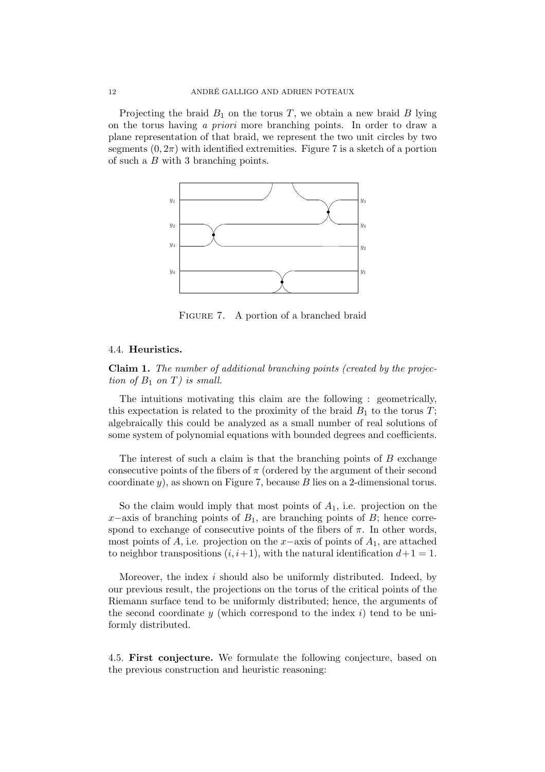Projecting the braid  $B_1$  on the torus T, we obtain a new braid B lying on the torus having a priori more branching points. In order to draw a plane representation of that braid, we represent the two unit circles by two segments  $(0, 2\pi)$  with identified extremities. Figure 7 is a sketch of a portion of such a B with 3 branching points.



FIGURE 7. A portion of a branched braid

#### 4.4. Heuristics.

Claim 1. The number of additional branching points (created by the projection of  $B_1$  on T) is small.

The intuitions motivating this claim are the following : geometrically, this expectation is related to the proximity of the braid  $B_1$  to the torus T; algebraically this could be analyzed as a small number of real solutions of some system of polynomial equations with bounded degrees and coefficients.

The interest of such a claim is that the branching points of  $B$  exchange consecutive points of the fibers of  $\pi$  (ordered by the argument of their second coordinate  $y$ ), as shown on Figure 7, because  $B$  lies on a 2-dimensional torus.

So the claim would imply that most points of  $A_1$ , i.e. projection on the  $x$ −axis of branching points of  $B_1$ , are branching points of  $B$ ; hence correspond to exchange of consecutive points of the fibers of  $\pi$ . In other words, most points of A, i.e. projection on the x–axis of points of  $A_1$ , are attached to neighbor transpositions  $(i, i+1)$ , with the natural identification  $d+1 = 1$ .

Moreover, the index i should also be uniformly distributed. Indeed, by our previous result, the projections on the torus of the critical points of the Riemann surface tend to be uniformly distributed; hence, the arguments of the second coordinate  $y$  (which correspond to the index i) tend to be uniformly distributed.

4.5. First conjecture. We formulate the following conjecture, based on the previous construction and heuristic reasoning: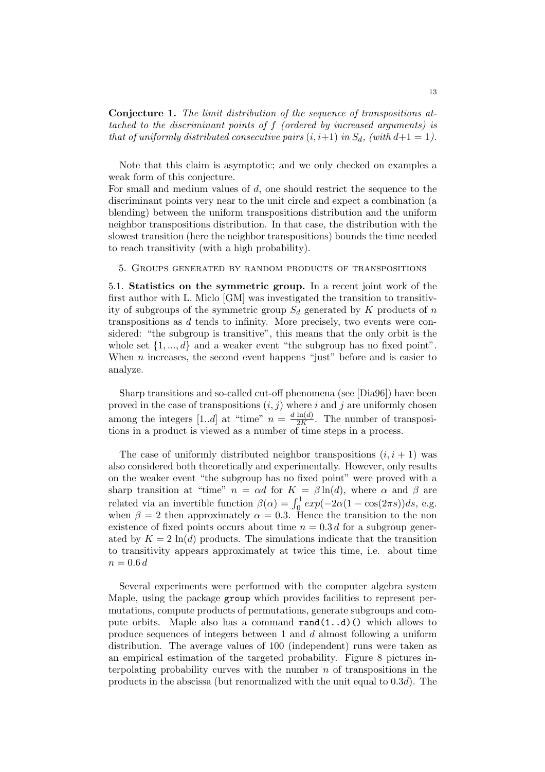Conjecture 1. The limit distribution of the sequence of transpositions attached to the discriminant points of f (ordered by increased arguments) is that of uniformly distributed consecutive pairs  $(i, i+1)$  in  $S_d$ , (with  $d+1 = 1$ ).

Note that this claim is asymptotic; and we only checked on examples a weak form of this conjecture.

For small and medium values of d, one should restrict the sequence to the discriminant points very near to the unit circle and expect a combination (a blending) between the uniform transpositions distribution and the uniform neighbor transpositions distribution. In that case, the distribution with the slowest transition (here the neighbor transpositions) bounds the time needed to reach transitivity (with a high probability).

5. Groups generated by random products of transpositions

5.1. Statistics on the symmetric group. In a recent joint work of the first author with L. Miclo [GM] was investigated the transition to transitivity of subgroups of the symmetric group  $S_d$  generated by K products of n transpositions as d tends to infinity. More precisely, two events were considered: "the subgroup is transitive", this means that the only orbit is the whole set  $\{1, ..., d\}$  and a weaker event "the subgroup has no fixed point". When  $n$  increases, the second event happens "just" before and is easier to analyze.

Sharp transitions and so-called cut-off phenomena (see [Dia96]) have been proved in the case of transpositions  $(i, j)$  where i and j are uniformly chosen among the integers [1..d] at "time"  $n = \frac{d \ln(d)}{2K}$  $\frac{\text{Im}(u)}{2K}$ . The number of transpositions in a product is viewed as a number of time steps in a process.

The case of uniformly distributed neighbor transpositions  $(i, i + 1)$  was also considered both theoretically and experimentally. However, only results on the weaker event "the subgroup has no fixed point" were proved with a sharp transition at "time"  $n = \alpha d$  for  $K = \beta \ln(d)$ , where  $\alpha$  and  $\beta$  are related via an invertible function  $\beta(\alpha) = \int_0^1 exp(-2\alpha(1 - \cos(2\pi s))ds, e.g.$ when  $\beta = 2$  then approximately  $\alpha = 0.3$ . Hence the transition to the non existence of fixed points occurs about time  $n = 0.3 d$  for a subgroup generated by  $K = 2 \ln(d)$  products. The simulations indicate that the transition to transitivity appears approximately at twice this time, i.e. about time  $n = 0.6 d$ 

Several experiments were performed with the computer algebra system Maple, using the package group which provides facilities to represent permutations, compute products of permutations, generate subgroups and compute orbits. Maple also has a command  $\text{rand}(1..d)$  () which allows to produce sequences of integers between 1 and d almost following a uniform distribution. The average values of 100 (independent) runs were taken as an empirical estimation of the targeted probability. Figure 8 pictures interpolating probability curves with the number  $n$  of transpositions in the products in the abscissa (but renormalized with the unit equal to  $0.3d$ ). The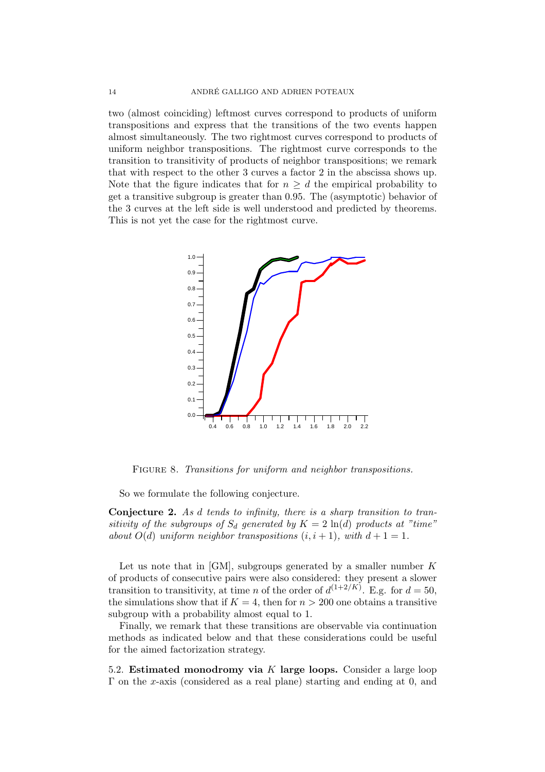two (almost coinciding) leftmost curves correspond to products of uniform transpositions and express that the transitions of the two events happen almost simultaneously. The two rightmost curves correspond to products of uniform neighbor transpositions. The rightmost curve corresponds to the transition to transitivity of products of neighbor transpositions; we remark that with respect to the other 3 curves a factor 2 in the abscissa shows up. Note that the figure indicates that for  $n \geq d$  the empirical probability to get a transitive subgroup is greater than 0.95. The (asymptotic) behavior of the 3 curves at the left side is well understood and predicted by theorems. This is not yet the case for the rightmost curve.



FIGURE 8. Transitions for uniform and neighbor transpositions.

So we formulate the following conjecture.

Conjecture 2. As d tends to infinity, there is a sharp transition to transitivity of the subgroups of  $S_d$  generated by  $K = 2 \ln(d)$  products at "time" about  $O(d)$  uniform neighbor transpositions  $(i, i + 1)$ , with  $d + 1 = 1$ .

Let us note that in  $[GM]$ , subgroups generated by a smaller number K of products of consecutive pairs were also considered: they present a slower transition to transitivity, at time *n* of the order of  $d^{(1+2/K)}$ . E.g. for  $d = 50$ , the simulations show that if  $K = 4$ , then for  $n > 200$  one obtains a transitive subgroup with a probability almost equal to 1.

Finally, we remark that these transitions are observable via continuation methods as indicated below and that these considerations could be useful for the aimed factorization strategy.

5.2. Estimated monodromy via K large loops. Consider a large loop  $\Gamma$  on the x-axis (considered as a real plane) starting and ending at 0, and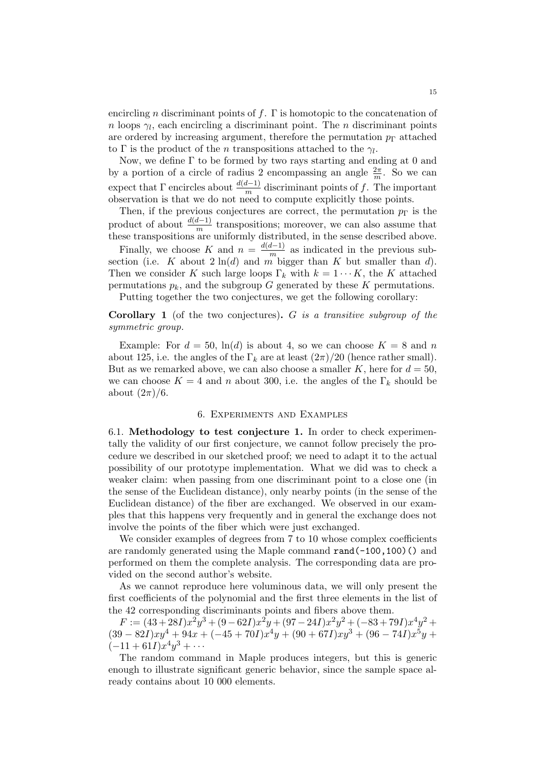encircling n discriminant points of f.  $\Gamma$  is homotopic to the concatenation of *n* loops  $\gamma_l$ , each encircling a discriminant point. The *n* discriminant points are ordered by increasing argument, therefore the permutation  $p_{\Gamma}$  attached to  $\Gamma$  is the product of the *n* transpositions attached to the  $\gamma_l$ .

Now, we define  $\Gamma$  to be formed by two rays starting and ending at 0 and by a portion of a circle of radius 2 encompassing an angle  $\frac{2\pi}{m}$ . So we can expect that  $\Gamma$  encircles about  $\frac{d(d-1)}{m}$  discriminant points of f. The important observation is that we do not need to compute explicitly those points.

Then, if the previous conjectures are correct, the permutation  $p_{\Gamma}$  is the product of about  $\frac{d(d-1)}{m}$  transpositions; moreover, we can also assume that these transpositions are uniformly distributed, in the sense described above.

Finally, we choose K and  $n = \frac{d(d-1)}{m}$  $\frac{n-1}{m}$  as indicated in the previous subsection (i.e. K about  $2 \ln(d)$  and m bigger than K but smaller than d). Then we consider K such large loops  $\Gamma_k$  with  $k = 1 \cdots K$ , the K attached permutations  $p_k$ , and the subgroup G generated by these K permutations.

Putting together the two conjectures, we get the following corollary:

### **Corollary 1** (of the two conjectures).  $G$  is a transitive subgroup of the symmetric group.

Example: For  $d = 50$ ,  $\ln(d)$  is about 4, so we can choose  $K = 8$  and n about 125, i.e. the angles of the  $\Gamma_k$  are at least  $(2\pi)/20$  (hence rather small). But as we remarked above, we can also choose a smaller K, here for  $d = 50$ , we can choose  $K = 4$  and n about 300, i.e. the angles of the  $\Gamma_k$  should be about  $(2\pi)/6$ .

#### 6. Experiments and Examples

6.1. Methodology to test conjecture 1. In order to check experimentally the validity of our first conjecture, we cannot follow precisely the procedure we described in our sketched proof; we need to adapt it to the actual possibility of our prototype implementation. What we did was to check a weaker claim: when passing from one discriminant point to a close one (in the sense of the Euclidean distance), only nearby points (in the sense of the Euclidean distance) of the fiber are exchanged. We observed in our examples that this happens very frequently and in general the exchange does not involve the points of the fiber which were just exchanged.

We consider examples of degrees from 7 to 10 whose complex coefficients are randomly generated using the Maple command rand(-100,100)() and performed on them the complete analysis. The corresponding data are provided on the second author's website.

As we cannot reproduce here voluminous data, we will only present the first coefficients of the polynomial and the first three elements in the list of the 42 corresponding discriminants points and fibers above them.

 $F := (43 + 28I)x^2y^3 + (9 - 62I)x^2y + (97 - 24I)x^2y^2 + (-83 + 79I)x^4y^2 +$  $(39 - 82I)xy^{4} + 94x + (-45 + 70I)x^{4}y + (90 + 67I)xy^{3} + (96 - 74I)x^{5}y +$  $(-11+61I)x^{4}y^{3}+\cdots$ 

The random command in Maple produces integers, but this is generic enough to illustrate significant generic behavior, since the sample space already contains about 10 000 elements.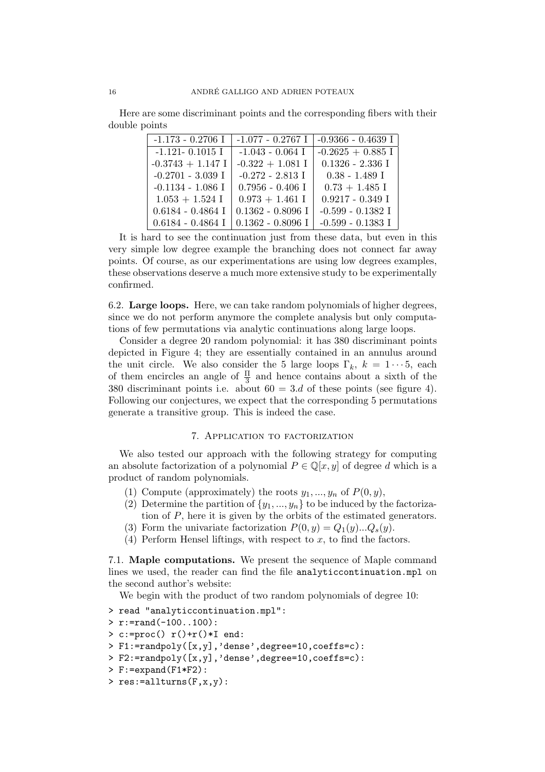Here are some discriminant points and the corresponding fibers with their double points

| $-1.173 - 0.2706$ I | $-1.077 - 0.2767$ I | $-0.9366 - 0.4639$ I |
|---------------------|---------------------|----------------------|
| $-1.121 - 0.1015$ I | $-1.043 - 0.064$ I  | $-0.2625 + 0.885$ I  |
| $-0.3743 + 1.147$ I | $-0.322 + 1.081$ I  | $0.1326 - 2.336$ I   |
| $-0.2701 - 3.039$ I | $-0.272 - 2.813$ I  | $0.38 - 1.489$ I     |
| $-0.1134 - 1.086$ I | $0.7956 - 0.406$ I  | $0.73 + 1.485$ I     |
| $1.053 + 1.524$ I   | $0.973 + 1.461$ I   | $0.9217 - 0.349$ I   |
| $0.6184 - 0.4864$ I | $0.1362 - 0.8096$ I | $-0.599 - 0.1382$ I  |
| $0.6184 - 0.4864$ I | $0.1362 - 0.8096$ I | $-0.599 - 0.1383$ I  |

It is hard to see the continuation just from these data, but even in this very simple low degree example the branching does not connect far away points. Of course, as our experimentations are using low degrees examples, these observations deserve a much more extensive study to be experimentally confirmed.

6.2. Large loops. Here, we can take random polynomials of higher degrees, since we do not perform anymore the complete analysis but only computations of few permutations via analytic continuations along large loops.

Consider a degree 20 random polynomial: it has 380 discriminant points depicted in Figure 4; they are essentially contained in an annulus around the unit circle. We also consider the 5 large loops  $\Gamma_k$ ,  $k = 1 \cdots 5$ , each of them encircles an angle of  $\frac{\Pi}{3}$  and hence contains about a sixth of the 380 discriminant points i.e. about  $60 = 3.d$  of these points (see figure 4). Following our conjectures, we expect that the corresponding 5 permutations generate a transitive group. This is indeed the case.

#### 7. Application to factorization

We also tested our approach with the following strategy for computing an absolute factorization of a polynomial  $P \in \mathbb{Q}[x, y]$  of degree d which is a product of random polynomials.

- (1) Compute (approximately) the roots  $y_1, ..., y_n$  of  $P(0, y)$ ,
- (2) Determine the partition of  $\{y_1, \ldots, y_n\}$  to be induced by the factorization of P, here it is given by the orbits of the estimated generators.
- (3) Form the univariate factorization  $P(0, y) = Q_1(y)...Q_s(y)$ .
- (4) Perform Hensel liftings, with respect to  $x$ , to find the factors.

7.1. Maple computations. We present the sequence of Maple command lines we used, the reader can find the file analyticcontinuation.mpl on the second author's website:

We begin with the product of two random polynomials of degree 10:

- > read "analyticcontinuation.mpl":
- $> r:=rand(-100..100)$ :
- $> c:=$ proc()  $r() + r() * I$  end:
- > F1:=randpoly([x,y],'dense',degree=10,coeffs=c):
- > F2:=randpoly([x,y],'dense',degree=10,coeffs=c):
- > F:=expand(F1\*F2):
- > res:=allturns(F,x,y):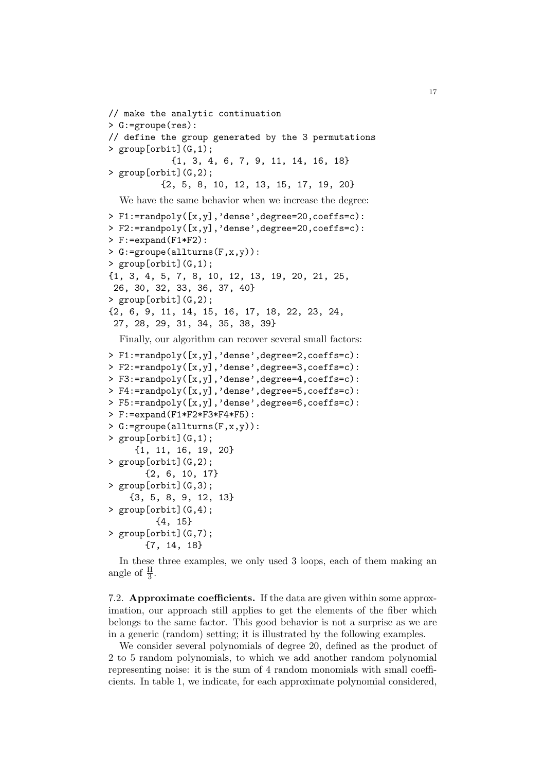```
// make the analytic continuation
> G:=groupe(res):
// define the group generated by the 3 permutations
> group[orbit](G,1);
            {1, 3, 4, 6, 7, 9, 11, 14, 16, 18}
> group[orbit](G,2);
          {2, 5, 8, 10, 12, 13, 15, 17, 19, 20}
  We have the same behavior when we increase the degree:
> F1:=randpoly([x,y],'dense',degree=20,coeffs=c):
> F2:=randpoly([x,y],'dense',degree=20,coeffs=c):
> F:=expand(F1*F2):
> G:=groupe(allturns(F,x,y)):
> group[orbit](G,1);
{1, 3, 4, 5, 7, 8, 10, 12, 13, 19, 20, 21, 25,
 26, 30, 32, 33, 36, 37, 40}
> group[orbit](G,2);
{2, 6, 9, 11, 14, 15, 16, 17, 18, 22, 23, 24,
 27, 28, 29, 31, 34, 35, 38, 39}
  Finally, our algorithm can recover several small factors:
> F1:=randpoly([x,y],'dense',degree=2,coeffs=c):
> F2:=randpoly([x,y],'dense',degree=3,coeffs=c):
> F3:=randpoly([x,y],'dense',degree=4,coeffs=c):
> F4:=randpoly([x,y],'dense',degree=5,coeffs=c):
> F5:=randpoly([x,y],'dense',degree=6,coeffs=c):
> F:=expand(F1*F2*F3*F4*F5):
> G:=groupe(allturns(F,x,y)):
> group[orbit](G,1);
     {1, 11, 16, 19, 20}
> group[orbit](G,2);
       {2, 6, 10, 17}
> group[orbit](G,3);
    {3, 5, 8, 9, 12, 13}
> group[orbit](G,4);
         {4, 15}
> group[orbit](G,7);
       {7, 14, 18}
```
In these three examples, we only used 3 loops, each of them making an angle of  $\frac{\Pi}{3}$ .

7.2. Approximate coefficients. If the data are given within some approximation, our approach still applies to get the elements of the fiber which belongs to the same factor. This good behavior is not a surprise as we are in a generic (random) setting; it is illustrated by the following examples.

We consider several polynomials of degree 20, defined as the product of 2 to 5 random polynomials, to which we add another random polynomial representing noise: it is the sum of 4 random monomials with small coefficients. In table 1, we indicate, for each approximate polynomial considered,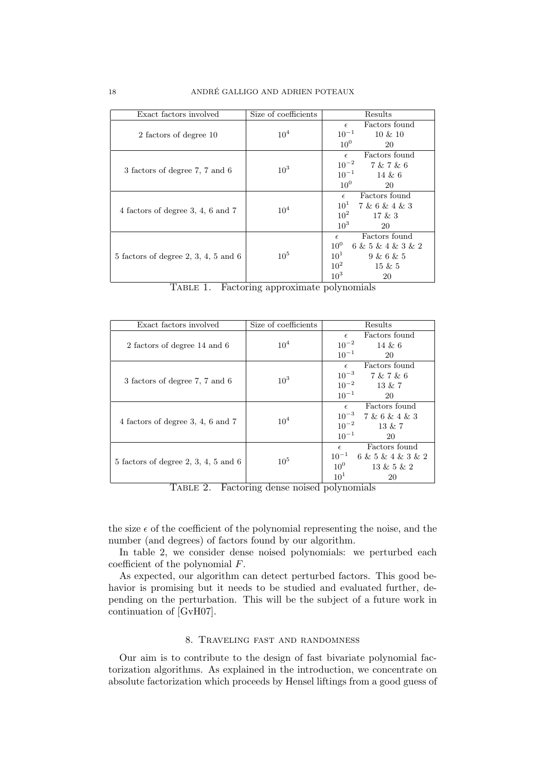| Exact factors involved                 | Size of coefficients | Results                                                                                                                                      |
|----------------------------------------|----------------------|----------------------------------------------------------------------------------------------------------------------------------------------|
| 2 factors of degree 10                 | 10 <sup>4</sup>      | Factors found<br>$\epsilon$<br>$10^{-1}$<br>$10 \& 10$                                                                                       |
| 3 factors of degree 7, 7 and 6         | 10 <sup>3</sup>      | 10 <sup>0</sup><br>20<br>Factors found<br>$\epsilon$<br>$10^{-2}$<br>7 & 7 & 6<br>$10^{-1}$ 14 & 6<br>10 <sup>0</sup><br>20                  |
| 4 factors of degree 3, 4, 6 and 7      | 10 <sup>4</sup>      | Factors found<br>$\epsilon$<br>$10^1$ 7 & 6 & 4 & 3<br>10 <sup>2</sup><br>17 & 3<br>10 <sup>3</sup><br>20                                    |
| $5$ factors of degree 2, 3, 4, 5 and 6 | $10^{5}$             | Factors found<br>$\epsilon$<br>$10^{0}$<br>6 & 5 & 4 & 3 & 2<br>$10^1$<br>9 & 6 & 5<br>10 <sup>2</sup><br>$15 \& 5$<br>10 <sup>3</sup><br>20 |

| TABLE 1. |  | Factoring approximate polynomials |  |
|----------|--|-----------------------------------|--|
|          |  |                                   |  |
|          |  |                                   |  |

| Exact factors involved               | Size of coefficients | Results                        |  |
|--------------------------------------|----------------------|--------------------------------|--|
|                                      |                      | Factors found<br>$\epsilon$    |  |
| 2 factors of degree 14 and 6         | $10^{4}$             | $10^{-2}$<br>$14 \& 6$         |  |
|                                      |                      | $10^{-1}$<br>20                |  |
|                                      | 10 <sup>3</sup>      | Factors found<br>$\epsilon$    |  |
|                                      |                      | $10^{-3}$<br>7 & 7 & 6         |  |
| 3 factors of degree 7, 7 and 6       |                      | $10^{-2}$<br>13 & 7            |  |
|                                      |                      | $10^{-1}$<br>20                |  |
|                                      | 10 <sup>4</sup>      | Factors found<br>$\epsilon$    |  |
|                                      |                      | $10^{-3}$ 7 & 6 & 4 & 3        |  |
| 4 factors of degree 3, 4, 6 and 7    |                      | $10^{-2}$<br>13 & 7            |  |
|                                      |                      | $10^{-1}$<br>20                |  |
|                                      | $10^{5}$             | Factors found<br>$\epsilon$    |  |
|                                      |                      | $10^{-1}$<br>6 & 5 & 4 & 3 & 2 |  |
| 5 factors of degree 2, 3, 4, 5 and 6 |                      | $10^0$<br>13 & 5 & 2           |  |
|                                      |                      | 10 <sup>1</sup><br>20          |  |

Table 2. Factoring dense noised polynomials

the size  $\epsilon$  of the coefficient of the polynomial representing the noise, and the number (and degrees) of factors found by our algorithm.

In table 2, we consider dense noised polynomials: we perturbed each coefficient of the polynomial F.

As expected, our algorithm can detect perturbed factors. This good behavior is promising but it needs to be studied and evaluated further, depending on the perturbation. This will be the subject of a future work in continuation of [GvH07].

#### 8. Traveling fast and randomness

Our aim is to contribute to the design of fast bivariate polynomial factorization algorithms. As explained in the introduction, we concentrate on absolute factorization which proceeds by Hensel liftings from a good guess of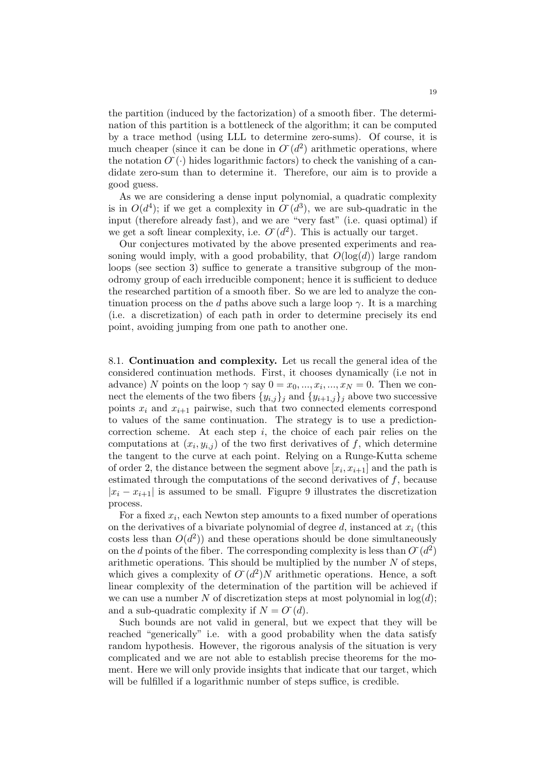the partition (induced by the factorization) of a smooth fiber. The determination of this partition is a bottleneck of the algorithm; it can be computed by a trace method (using LLL to determine zero-sums). Of course, it is much cheaper (since it can be done in  $O(d^2)$  arithmetic operations, where the notation  $O(\cdot)$  hides logarithmic factors) to check the vanishing of a candidate zero-sum than to determine it. Therefore, our aim is to provide a good guess.

As we are considering a dense input polynomial, a quadratic complexity is in  $O(d^4)$ ; if we get a complexity in  $O'(d^3)$ , we are sub-quadratic in the input (therefore already fast), and we are "very fast" (i.e. quasi optimal) if we get a soft linear complexity, i.e.  $O(d^2)$ . This is actually our target.

Our conjectures motivated by the above presented experiments and reasoning would imply, with a good probability, that  $O(\log(d))$  large random loops (see section 3) suffice to generate a transitive subgroup of the monodromy group of each irreducible component; hence it is sufficient to deduce the researched partition of a smooth fiber. So we are led to analyze the continuation process on the d paths above such a large loop  $\gamma$ . It is a marching (i.e. a discretization) of each path in order to determine precisely its end point, avoiding jumping from one path to another one.

8.1. Continuation and complexity. Let us recall the general idea of the considered continuation methods. First, it chooses dynamically (i.e not in advance) N points on the loop  $\gamma$  say  $0 = x_0, ..., x_i, ..., x_N = 0$ . Then we connect the elements of the two fibers  $\{y_{i,j}\}_j$  and  $\{y_{i+1,j}\}_j$  above two successive points  $x_i$  and  $x_{i+1}$  pairwise, such that two connected elements correspond to values of the same continuation. The strategy is to use a predictioncorrection scheme. At each step  $i$ , the choice of each pair relies on the computations at  $(x_i, y_{i,j})$  of the two first derivatives of f, which determine the tangent to the curve at each point. Relying on a Runge-Kutta scheme of order 2, the distance between the segment above  $[x_i, x_{i+1}]$  and the path is estimated through the computations of the second derivatives of f, because  $|x_i - x_{i+1}|$  is assumed to be small. Figupre 9 illustrates the discretization process.

For a fixed  $x_i$ , each Newton step amounts to a fixed number of operations on the derivatives of a bivariate polynomial of degree d, instanced at  $x_i$  (this costs less than  $O(d^2)$  and these operations should be done simultaneously on the d points of the fiber. The corresponding complexity is less than  $O'(d^2)$ arithmetic operations. This should be multiplied by the number  $N$  of steps, which gives a complexity of  $O'(d^2)N$  arithmetic operations. Hence, a soft linear complexity of the determination of the partition will be achieved if we can use a number N of discretization steps at most polynomial in  $log(d)$ ; and a sub-quadratic complexity if  $N = O<sup>(d)</sup>$ .

Such bounds are not valid in general, but we expect that they will be reached "generically" i.e. with a good probability when the data satisfy random hypothesis. However, the rigorous analysis of the situation is very complicated and we are not able to establish precise theorems for the moment. Here we will only provide insights that indicate that our target, which will be fulfilled if a logarithmic number of steps suffice, is credible.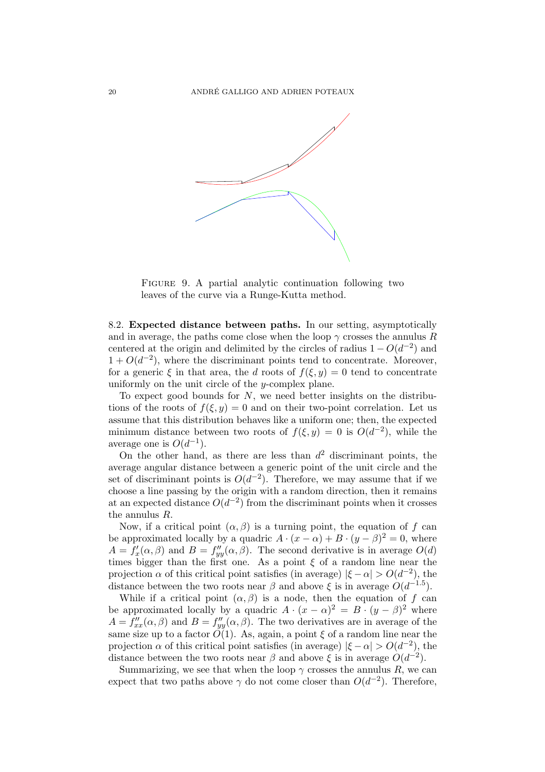

FIGURE 9. A partial analytic continuation following two leaves of the curve via a Runge-Kutta method.

8.2. Expected distance between paths. In our setting, asymptotically and in average, the paths come close when the loop  $\gamma$  crosses the annulus R centered at the origin and delimited by the circles of radius  $1 - O(d^{-2})$  and  $1 + O(d^{-2})$ , where the discriminant points tend to concentrate. Moreover, for a generic  $\xi$  in that area, the d roots of  $f(\xi, y) = 0$  tend to concentrate uniformly on the unit circle of the y-complex plane.

To expect good bounds for  $N$ , we need better insights on the distributions of the roots of  $f(\xi, y) = 0$  and on their two-point correlation. Let us assume that this distribution behaves like a uniform one; then, the expected minimum distance between two roots of  $f(\xi, y) = 0$  is  $O(d^{-2})$ , while the average one is  $O(d^{-1})$ .

On the other hand, as there are less than  $d^2$  discriminant points, the average angular distance between a generic point of the unit circle and the set of discriminant points is  $O(d^{-2})$ . Therefore, we may assume that if we choose a line passing by the origin with a random direction, then it remains at an expected distance  $O(d^{-2})$  from the discriminant points when it crosses the annulus R.

Now, if a critical point  $(\alpha, \beta)$  is a turning point, the equation of f can be approximated locally by a quadric  $A \cdot (x - \alpha) + B \cdot (y - \beta)^2 = 0$ , where  $A = f'_x(\alpha, \beta)$  and  $B = f''_{yy}(\alpha, \beta)$ . The second derivative is in average  $O(d)$ times bigger than the first one. As a point  $\xi$  of a random line near the projection  $\alpha$  of this critical point satisfies (in average)  $|\xi - \alpha| > O(d^{-2})$ , the distance between the two roots near  $\beta$  and above  $\xi$  is in average  $O(d^{-1.5})$ .

While if a critical point  $(\alpha, \beta)$  is a node, then the equation of f can be approximated locally by a quadric  $A \cdot (x - \alpha)^2 = B \cdot (y - \beta)^2$  where  $A = f''_{xx}(\alpha, \beta)$  and  $B = f''_{yy}(\alpha, \beta)$ . The two derivatives are in average of the same size up to a factor  $\tilde{O}(1)$ . As, again, a point  $\xi$  of a random line near the projection  $\alpha$  of this critical point satisfies (in average)  $|\xi - \alpha| > O(d^{-2})$ , the distance between the two roots near  $\beta$  and above  $\xi$  is in average  $O(d^{-2})$ .

Summarizing, we see that when the loop  $\gamma$  crosses the annulus R, we can expect that two paths above  $\gamma$  do not come closer than  $O(d^{-2})$ . Therefore,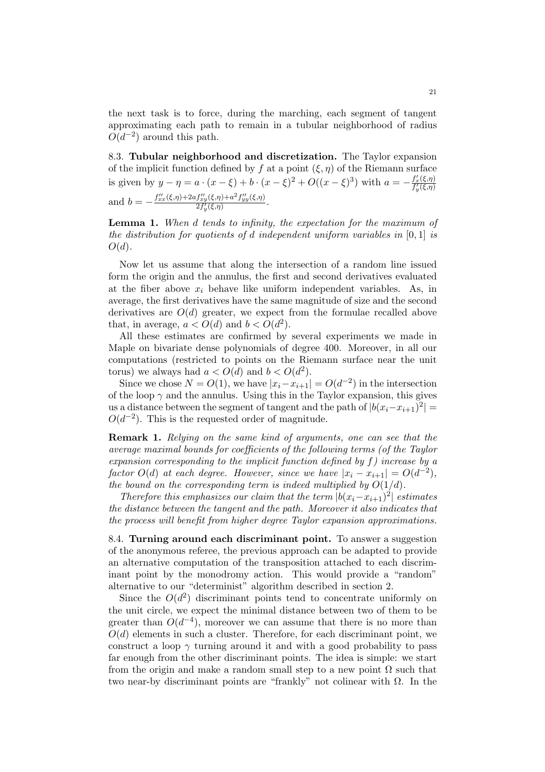the next task is to force, during the marching, each segment of tangent approximating each path to remain in a tubular neighborhood of radius  $O(d^{-2})$  around this path.

8.3. Tubular neighborhood and discretization. The Taylor expansion of the implicit function defined by f at a point  $(\xi, \eta)$  of the Riemann surface is given by  $y - \eta = a \cdot (x - \xi) + b \cdot (x - \xi)^2 + O((x - \xi)^3)$  with  $a = -\frac{f'_x(\xi, \eta)}{f'_y(\xi, \eta)}$ and  $b = -\frac{f''_{xx}(\xi,\eta) + 2af''_{xy}(\xi,\eta) + a^2f''_{yy}(\xi,\eta)}{2f'_u(\xi,\eta)}$  $\frac{\int xy(s,\eta)+a_{Jyy}(s,\eta)}{2f'_y(\xi,\eta)}$ .

Lemma 1. When d tends to infinity, the expectation for the maximum of the distribution for quotients of d independent uniform variables in  $[0,1]$  is  $O(d)$ .

Now let us assume that along the intersection of a random line issued form the origin and the annulus, the first and second derivatives evaluated at the fiber above  $x_i$  behave like uniform independent variables. As, in average, the first derivatives have the same magnitude of size and the second derivatives are  $O(d)$  greater, we expect from the formulae recalled above that, in average,  $a < O(d)$  and  $b < O(d^2)$ .

All these estimates are confirmed by several experiments we made in Maple on bivariate dense polynomials of degree 400. Moreover, in all our computations (restricted to points on the Riemann surface near the unit torus) we always had  $a < O(d)$  and  $b < O(d^2)$ .

Since we chose  $N = O(1)$ , we have  $|x_i - x_{i+1}| = O(d^{-2})$  in the intersection of the loop  $\gamma$  and the annulus. Using this in the Taylor expansion, this gives us a distance between the segment of tangent and the path of  $|b(x_i-x_{i+1})^2|$  =  $O(d^{-2})$ . This is the requested order of magnitude.

Remark 1. Relying on the same kind of arguments, one can see that the average maximal bounds for coefficients of the following terms (of the Taylor expansion corresponding to the implicit function defined by f) increase by a factor  $O(d)$  at each degree. However, since we have  $|x_i - x_{i+1}| = O(d^{-2}),$ the bound on the corresponding term is indeed multiplied by  $O(1/d)$ .

Therefore this emphasizes our claim that the term  $|b(x_i-x_{i+1})^2|$  estimates the distance between the tangent and the path. Moreover it also indicates that the process will benefit from higher degree Taylor expansion approximations.

8.4. Turning around each discriminant point. To answer a suggestion of the anonymous referee, the previous approach can be adapted to provide an alternative computation of the transposition attached to each discriminant point by the monodromy action. This would provide a "random" alternative to our "determinist" algorithm described in section 2.

Since the  $O(d^2)$  discriminant points tend to concentrate uniformly on the unit circle, we expect the minimal distance between two of them to be greater than  $O(d^{-4})$ , moreover we can assume that there is no more than  $O(d)$  elements in such a cluster. Therefore, for each discriminant point, we construct a loop  $\gamma$  turning around it and with a good probability to pass far enough from the other discriminant points. The idea is simple: we start from the origin and make a random small step to a new point  $\Omega$  such that two near-by discriminant points are "frankly" not colinear with  $\Omega$ . In the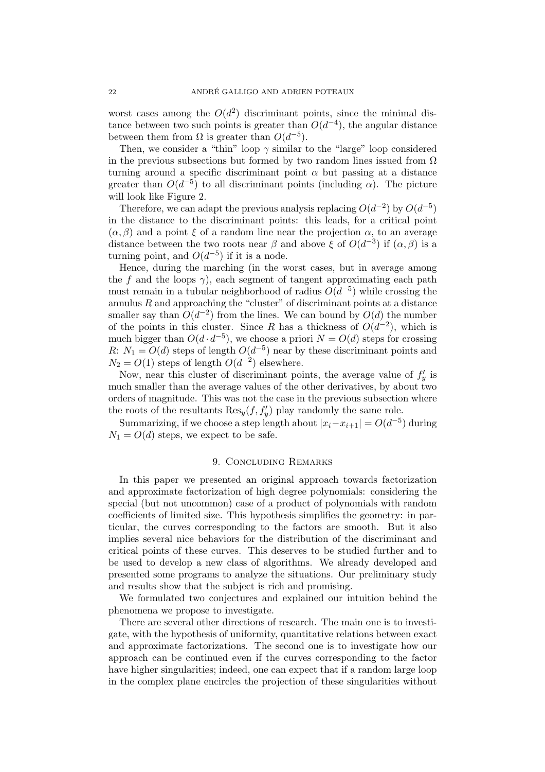worst cases among the  $O(d^2)$  discriminant points, since the minimal distance between two such points is greater than  $O(d^{-4})$ , the angular distance between them from  $\Omega$  is greater than  $O(d^{-5})$ .

Then, we consider a "thin" loop  $\gamma$  similar to the "large" loop considered in the previous subsections but formed by two random lines issued from  $\Omega$ turning around a specific discriminant point  $\alpha$  but passing at a distance greater than  $O(d^{-5})$  to all discriminant points (including  $\alpha$ ). The picture will look like Figure 2.

Therefore, we can adapt the previous analysis replacing  $O(d^{-2})$  by  $O(d^{-5})$ in the distance to the discriminant points: this leads, for a critical point  $(\alpha, \beta)$  and a point  $\xi$  of a random line near the projection  $\alpha$ , to an average distance between the two roots near  $\beta$  and above  $\xi$  of  $O(d^{-3})$  if  $(\alpha, \beta)$  is a turning point, and  $O(d^{-5})$  if it is a node.

Hence, during the marching (in the worst cases, but in average among the f and the loops  $\gamma$ ), each segment of tangent approximating each path must remain in a tubular neighborhood of radius  $O(d^{-5})$  while crossing the annulus  $R$  and approaching the "cluster" of discriminant points at a distance smaller say than  $O(d^{-2})$  from the lines. We can bound by  $O(d)$  the number of the points in this cluster. Since R has a thickness of  $O(d^{-2})$ , which is much bigger than  $O(d \cdot d^{-5})$ , we choose a priori  $N = O(d)$  steps for crossing R:  $N_1 = O(d)$  steps of length  $O(d^{-5})$  near by these discriminant points and  $N_2 = O(1)$  steps of length  $O(d^{-2})$  elsewhere.

Now, near this cluster of discriminant points, the average value of  $f'_y$  is much smaller than the average values of the other derivatives, by about two orders of magnitude. This was not the case in the previous subsection where the roots of the resultants  $\text{Res}_y(f, f'_y)$  play randomly the same role.

Summarizing, if we choose a step length about  $|x_i-x_{i+1}| = O(d^{-5})$  during  $N_1 = O(d)$  steps, we expect to be safe.

#### 9. Concluding Remarks

In this paper we presented an original approach towards factorization and approximate factorization of high degree polynomials: considering the special (but not uncommon) case of a product of polynomials with random coefficients of limited size. This hypothesis simplifies the geometry: in particular, the curves corresponding to the factors are smooth. But it also implies several nice behaviors for the distribution of the discriminant and critical points of these curves. This deserves to be studied further and to be used to develop a new class of algorithms. We already developed and presented some programs to analyze the situations. Our preliminary study and results show that the subject is rich and promising.

We formulated two conjectures and explained our intuition behind the phenomena we propose to investigate.

There are several other directions of research. The main one is to investigate, with the hypothesis of uniformity, quantitative relations between exact and approximate factorizations. The second one is to investigate how our approach can be continued even if the curves corresponding to the factor have higher singularities; indeed, one can expect that if a random large loop in the complex plane encircles the projection of these singularities without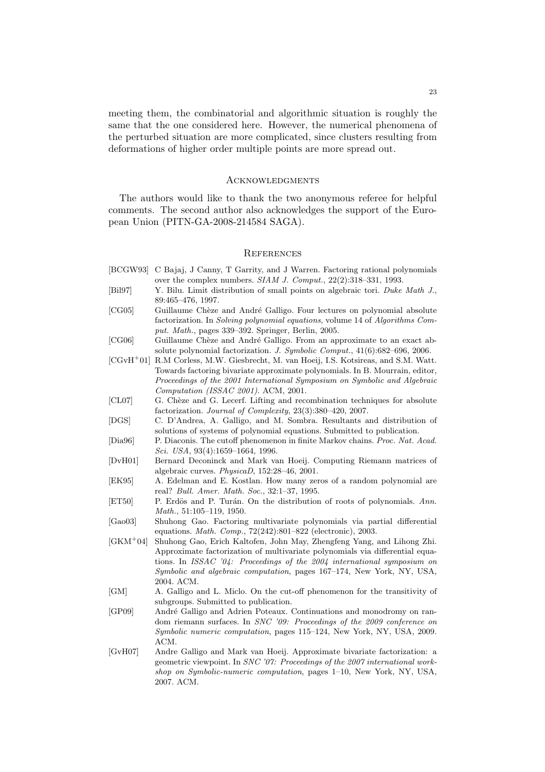meeting them, the combinatorial and algorithmic situation is roughly the same that the one considered here. However, the numerical phenomena of the perturbed situation are more complicated, since clusters resulting from deformations of higher order multiple points are more spread out.

#### **ACKNOWLEDGMENTS**

The authors would like to thank the two anonymous referee for helpful comments. The second author also acknowledges the support of the European Union (PITN-GA-2008-214584 SAGA).

#### **REFERENCES**

- [BCGW93] C Bajaj, J Canny, T Garrity, and J Warren. Factoring rational polynomials over the complex numbers. *SIAM J. Comput.*, 22(2):318–331, 1993.
- [Bil97] Y. Bilu. Limit distribution of small points on algebraic tori. *Duke Math J.*, 89:465–476, 1997.
- [CG05] Guillaume Chèze and André Galligo. Four lectures on polynomial absolute factorization. In *Solving polynomial equations*, volume 14 of *Algorithms Comput. Math.*, pages 339–392. Springer, Berlin, 2005.
- [CG06] Guillaume Chèze and André Galligo. From an approximate to an exact absolute polynomial factorization. *J. Symbolic Comput.*, 41(6):682–696, 2006.
- [CGvH<sup>+</sup>01] R.M Corless, M.W. Giesbrecht, M. van Hoeij, I.S. Kotsireas, and S.M. Watt. Towards factoring bivariate approximate polynomials. In B. Mourrain, editor, *Proceedings of the 2001 International Symposium on Symbolic and Algebraic Computation (ISSAC 2001)*. ACM, 2001.
- [CL07] G. Chèze and G. Lecerf. Lifting and recombination techniques for absolute factorization. *Journal of Complexity*, 23(3):380–420, 2007.
- [DGS] C. D'Andrea, A. Galligo, and M. Sombra. Resultants and distribution of solutions of systems of polynomial equations. Submitted to publication.
- [Dia96] P. Diaconis. The cutoff phenomenon in finite Markov chains. *Proc. Nat. Acad. Sci. USA*, 93(4):1659–1664, 1996.
- [DvH01] Bernard Deconinck and Mark van Hoeij. Computing Riemann matrices of algebraic curves. *PhysicaD*, 152:28–46, 2001.
- [EK95] A. Edelman and E. Kostlan. How many zeros of a random polynomial are real? *Bull. Amer. Math. Soc.*, 32:1–37, 1995.
- [ET50] P. Erdös and P. Turán. On the distribution of roots of polynomials. Ann. *Math.*, 51:105–119, 1950.
- [Gao03] Shuhong Gao. Factoring multivariate polynomials via partial differential equations. *Math. Comp.*, 72(242):801–822 (electronic), 2003.
- [GKM<sup>+</sup>04] Shuhong Gao, Erich Kaltofen, John May, Zhengfeng Yang, and Lihong Zhi. Approximate factorization of multivariate polynomials via differential equations. In *ISSAC '04: Proceedings of the 2004 international symposium on Symbolic and algebraic computation*, pages 167–174, New York, NY, USA, 2004. ACM.
- [GM] A. Galligo and L. Miclo. On the cut-off phenomenon for the transitivity of subgroups. Submitted to publication.
- [GP09] André Galligo and Adrien Poteaux. Continuations and monodromy on random riemann surfaces. In *SNC '09: Proceedings of the 2009 conference on Symbolic numeric computation*, pages 115–124, New York, NY, USA, 2009. ACM.
- [GvH07] Andre Galligo and Mark van Hoeij. Approximate bivariate factorization: a geometric viewpoint. In *SNC '07: Proceedings of the 2007 international workshop on Symbolic-numeric computation*, pages 1–10, New York, NY, USA, 2007. ACM.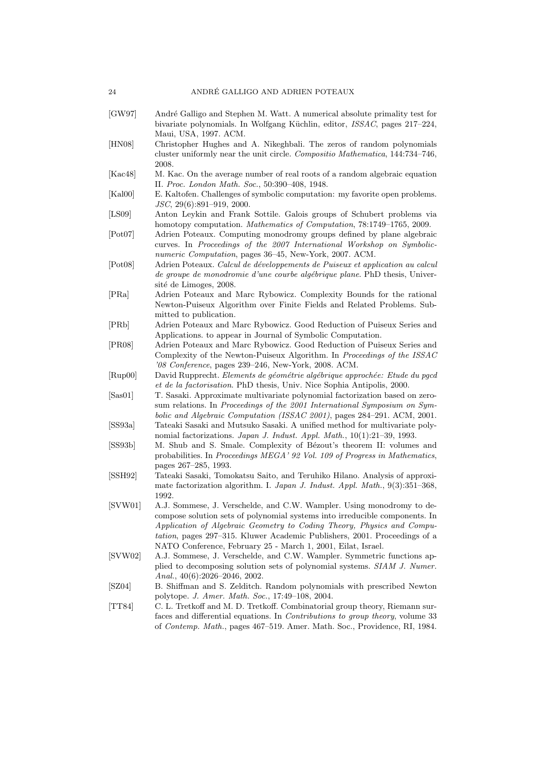- [GW97] André Galligo and Stephen M. Watt. A numerical absolute primality test for bivariate polynomials. In Wolfgang Küchlin, editor, *ISSAC*, pages 217–224, Maui, USA, 1997. ACM.
- [HN08] Christopher Hughes and A. Nikeghbali. The zeros of random polynomials cluster uniformly near the unit circle. *Compositio Mathematica*, 144:734–746, 2008.
- [Kac48] M. Kac. On the average number of real roots of a random algebraic equation II. *Proc. London Math. Soc.*, 50:390–408, 1948.
- [Kal00] E. Kaltofen. Challenges of symbolic computation: my favorite open problems. *JSC*, 29(6):891–919, 2000.
- [LS09] Anton Leykin and Frank Sottile. Galois groups of Schubert problems via homotopy computation. *Mathematics of Computation*, 78:1749–1765, 2009.
- [Pot07] Adrien Poteaux. Computing monodromy groups defined by plane algebraic curves. In *Proceedings of the 2007 International Workshop on Symbolicnumeric Computation*, pages 36–45, New-York, 2007. ACM.
- [Pot08] Adrien Poteaux. *Calcul de d´eveloppements de Puiseux et application au calcul de groupe de monodromie d'une courbe alg´ebrique plane*. PhD thesis, Université de Limoges, 2008.
- [PRa] Adrien Poteaux and Marc Rybowicz. Complexity Bounds for the rational Newton-Puiseux Algorithm over Finite Fields and Related Problems. Submitted to publication.
- [PRb] Adrien Poteaux and Marc Rybowicz. Good Reduction of Puiseux Series and Applications. to appear in Journal of Symbolic Computation.
- [PR08] Adrien Poteaux and Marc Rybowicz. Good Reduction of Puiseux Series and Complexity of the Newton-Puiseux Algorithm. In *Proceedings of the ISSAC '08 Conference*, pages 239–246, New-York, 2008. ACM.
- [Rup00] David Rupprecht. *Elements de géométrie algébrique approchée: Etude du pgcd et de la factorisation*. PhD thesis, Univ. Nice Sophia Antipolis, 2000.
- [Sas01] T. Sasaki. Approximate multivariate polynomial factorization based on zerosum relations. In *Proceedings of the 2001 International Symposium on Symbolic and Algebraic Computation (ISSAC 2001)*, pages 284–291. ACM, 2001.
- [SS93a] Tateaki Sasaki and Mutsuko Sasaki. A unified method for multivariate polynomial factorizations. *Japan J. Indust. Appl. Math.*, 10(1):21–39, 1993.
- [SS93b] M. Shub and S. Smale. Complexity of Bézout's theorem II: volumes and probabilities. In *Proceedings MEGA' 92 Vol. 109 of Progress in Mathematics*, pages 267–285, 1993.
- [SSH92] Tateaki Sasaki, Tomokatsu Saito, and Teruhiko Hilano. Analysis of approximate factorization algorithm. I. *Japan J. Indust. Appl. Math.*, 9(3):351–368, 1992.
- [SVW01] A.J. Sommese, J. Verschelde, and C.W. Wampler. Using monodromy to decompose solution sets of polynomial systems into irreducible components. In *Application of Algebraic Geometry to Coding Theory, Physics and Computation*, pages 297–315. Kluwer Academic Publishers, 2001. Proceedings of a NATO Conference, February 25 - March 1, 2001, Eilat, Israel.
- [SVW02] A.J. Sommese, J. Verschelde, and C.W. Wampler. Symmetric functions applied to decomposing solution sets of polynomial systems. *SIAM J. Numer. Anal.*, 40(6):2026–2046, 2002.
- [SZ04] B. Shiffman and S. Zelditch. Random polynomials with prescribed Newton polytope. *J. Amer. Math. Soc.*, 17:49–108, 2004.
- [TT84] C. L. Tretkoff and M. D. Tretkoff. Combinatorial group theory, Riemann surfaces and differential equations. In *Contributions to group theory*, volume 33 of *Contemp. Math.*, pages 467–519. Amer. Math. Soc., Providence, RI, 1984.